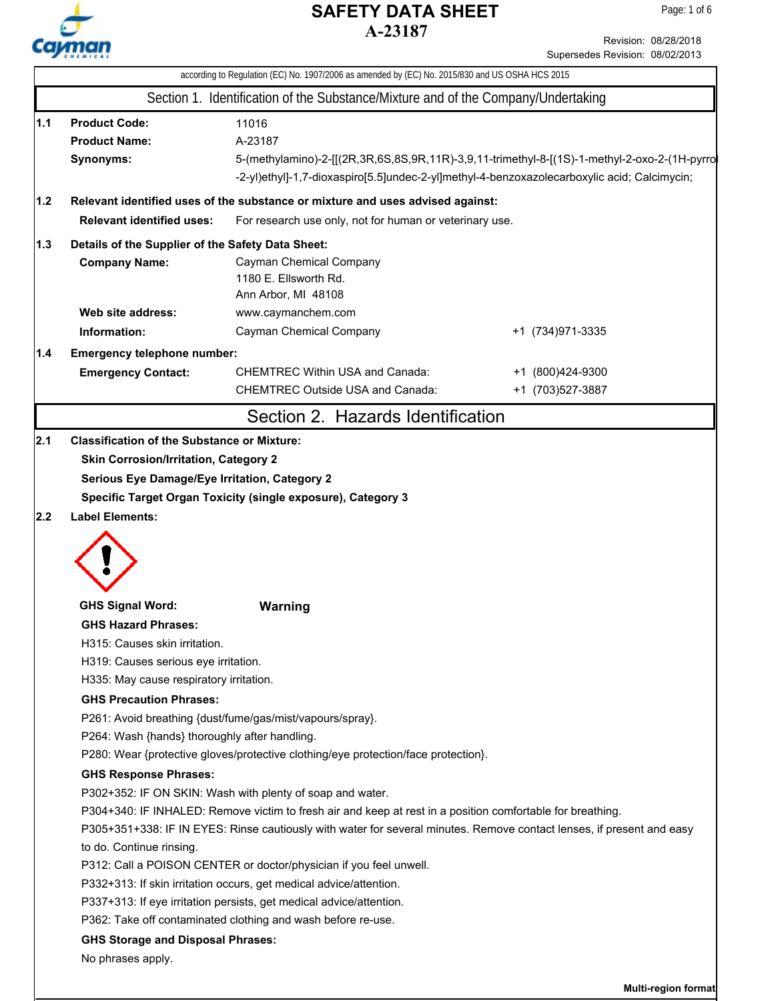

Revision: 08/28/2018

|     |                                                                                                                       |                                                                                                            | Supersedes Revision: 08/02/2013                                                                 |  |  |  |
|-----|-----------------------------------------------------------------------------------------------------------------------|------------------------------------------------------------------------------------------------------------|-------------------------------------------------------------------------------------------------|--|--|--|
|     |                                                                                                                       |                                                                                                            | according to Regulation (EC) No. 1907/2006 as amended by (EC) No. 2015/830 and US OSHA HCS 2015 |  |  |  |
|     |                                                                                                                       | Section 1. Identification of the Substance/Mixture and of the Company/Undertaking                          |                                                                                                 |  |  |  |
| 1.1 | <b>Product Code:</b>                                                                                                  | 11016                                                                                                      |                                                                                                 |  |  |  |
|     | <b>Product Name:</b>                                                                                                  | A-23187                                                                                                    |                                                                                                 |  |  |  |
|     | Synonyms:                                                                                                             |                                                                                                            | 5-(methylamino)-2-[[(2R,3R,6S,8S,9R,11R)-3,9,11-trimethyl-8-[(1S)-1-methyl-2-oxo-2-(1H-pyrro    |  |  |  |
|     |                                                                                                                       | -2-yl)ethyl]-1,7-dioxaspiro[5.5]undec-2-yl]methyl-4-benzoxazolecarboxylic acid; Calcimycin;                |                                                                                                 |  |  |  |
| 1.2 |                                                                                                                       | Relevant identified uses of the substance or mixture and uses advised against:                             |                                                                                                 |  |  |  |
|     | <b>Relevant identified uses:</b>                                                                                      | For research use only, not for human or veterinary use.                                                    |                                                                                                 |  |  |  |
| 1.3 | Details of the Supplier of the Safety Data Sheet:                                                                     |                                                                                                            |                                                                                                 |  |  |  |
|     | <b>Company Name:</b>                                                                                                  | Cayman Chemical Company                                                                                    |                                                                                                 |  |  |  |
|     |                                                                                                                       | 1180 E. Ellsworth Rd.                                                                                      |                                                                                                 |  |  |  |
|     |                                                                                                                       | Ann Arbor, MI 48108                                                                                        |                                                                                                 |  |  |  |
|     | Web site address:                                                                                                     | www.caymanchem.com                                                                                         |                                                                                                 |  |  |  |
|     | Information:                                                                                                          | Cayman Chemical Company                                                                                    | +1 (734) 971-3335                                                                               |  |  |  |
| 1.4 | <b>Emergency telephone number:</b>                                                                                    |                                                                                                            |                                                                                                 |  |  |  |
|     | <b>Emergency Contact:</b>                                                                                             | <b>CHEMTREC Within USA and Canada:</b>                                                                     | +1 (800)424-9300                                                                                |  |  |  |
|     |                                                                                                                       | <b>CHEMTREC Outside USA and Canada:</b>                                                                    | +1 (703) 527-3887                                                                               |  |  |  |
|     |                                                                                                                       | Section 2. Hazards Identification                                                                          |                                                                                                 |  |  |  |
| 2.2 | <b>Label Elements:</b>                                                                                                |                                                                                                            |                                                                                                 |  |  |  |
|     | <b>GHS Signal Word:</b>                                                                                               | <b>Warning</b>                                                                                             |                                                                                                 |  |  |  |
|     | <b>GHS Hazard Phrases:</b>                                                                                            |                                                                                                            |                                                                                                 |  |  |  |
|     | H315: Causes skin irritation.                                                                                         |                                                                                                            |                                                                                                 |  |  |  |
|     | H319: Causes serious eye irritation.                                                                                  |                                                                                                            |                                                                                                 |  |  |  |
|     | H335: May cause respiratory irritation.                                                                               |                                                                                                            |                                                                                                 |  |  |  |
|     | <b>GHS Precaution Phrases:</b>                                                                                        |                                                                                                            |                                                                                                 |  |  |  |
|     | P261: Avoid breathing {dust/fume/gas/mist/vapours/spray}.                                                             |                                                                                                            |                                                                                                 |  |  |  |
|     | P264: Wash {hands} thoroughly after handling.                                                                         |                                                                                                            |                                                                                                 |  |  |  |
|     |                                                                                                                       | P280: Wear {protective gloves/protective clothing/eye protection/face protection}.                         |                                                                                                 |  |  |  |
|     | <b>GHS Response Phrases:</b>                                                                                          |                                                                                                            |                                                                                                 |  |  |  |
|     |                                                                                                                       | P302+352: IF ON SKIN: Wash with plenty of soap and water.                                                  |                                                                                                 |  |  |  |
|     |                                                                                                                       | P304+340: IF INHALED: Remove victim to fresh air and keep at rest in a position comfortable for breathing. |                                                                                                 |  |  |  |
|     | P305+351+338: IF IN EYES: Rinse cautiously with water for several minutes. Remove contact lenses, if present and easy |                                                                                                            |                                                                                                 |  |  |  |
|     | to do. Continue rinsing.                                                                                              |                                                                                                            |                                                                                                 |  |  |  |
|     |                                                                                                                       | P312: Call a POISON CENTER or doctor/physician if you feel unwell.                                         |                                                                                                 |  |  |  |
|     |                                                                                                                       | P332+313: If skin irritation occurs, get medical advice/attention.                                         |                                                                                                 |  |  |  |
|     | P337+313: If eye irritation persists, get medical advice/attention.                                                   |                                                                                                            |                                                                                                 |  |  |  |
|     |                                                                                                                       | P362: Take off contaminated clothing and wash before re-use.                                               |                                                                                                 |  |  |  |
|     | <b>GHS Storage and Disposal Phrases:</b>                                                                              |                                                                                                            |                                                                                                 |  |  |  |
|     | No phrases apply.                                                                                                     |                                                                                                            |                                                                                                 |  |  |  |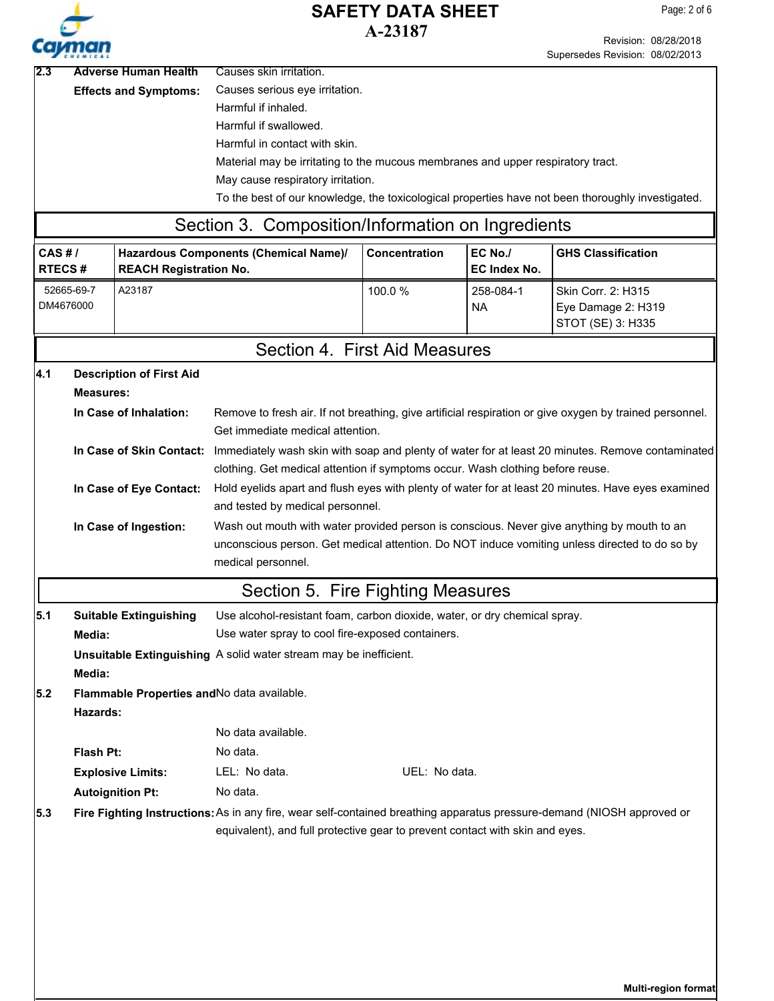

Revision: 08/28/2018

Supersedes Revision: 08/02/2013 2.3 Adverse Human Health Causes skin irritation. Causes serious eye irritation. Harmful if inhaled. Harmful if swallowed. Harmful in contact with skin. Material may be irritating to the mucous membranes and upper respiratory tract. May cause respiratory irritation. To the best of our knowledge, the toxicological properties have not been thoroughly investigated. **Effects and Symptoms: CAS # / RTECS # Hazardous Components (Chemical Name)/ REACH Registration No.** Section 3. Composition/Information on Ingredients **Concentration EC No./ EC Index No. GHS Classification** 52665-69-7 DM4676000 A23187 100.0 % 258-084-1 NA Skin Corr. 2: H315 Eye Damage 2: H319 STOT (SE) 3: H335 Section 4. First Aid Measures **Description of First Aid Measures:** Hold eyelids apart and flush eyes with plenty of water for at least 20 minutes. Have eyes examined and tested by medical personnel. **In Case of Eye Contact:** Immediately wash skin with soap and plenty of water for at least 20 minutes. Remove contaminated clothing. Get medical attention if symptoms occur. Wash clothing before reuse. **In Case of Skin Contact:** Wash out mouth with water provided person is conscious. Never give anything by mouth to an unconscious person. Get medical attention. Do NOT induce vomiting unless directed to do so by medical personnel. **In Case of Ingestion:** Remove to fresh air. If not breathing, give artificial respiration or give oxygen by trained personnel. Get immediate medical attention. **In Case of Inhalation: 4.1 5.1 5.2** Section 5. Fire Fighting Measures **Flash Pt:** No data. Fire Fighting Instructions: As in any fire, wear self-contained breathing apparatus pressure-demand (NIOSH approved or equivalent), and full protective gear to prevent contact with skin and eyes. **Autoignition Pt:** No data. **Explosive Limits:** LEL: No data. We are the UEL: No data. Use alcohol-resistant foam, carbon dioxide, water, or dry chemical spray. Use water spray to cool fire-exposed containers. **Suitable Extinguishing Media: Unsuitable Extinguishing** A solid water stream may be inefficient. **Media: Flammable Properties and**No data available. **Hazards: 5.3** No data available.

**Multi-region format**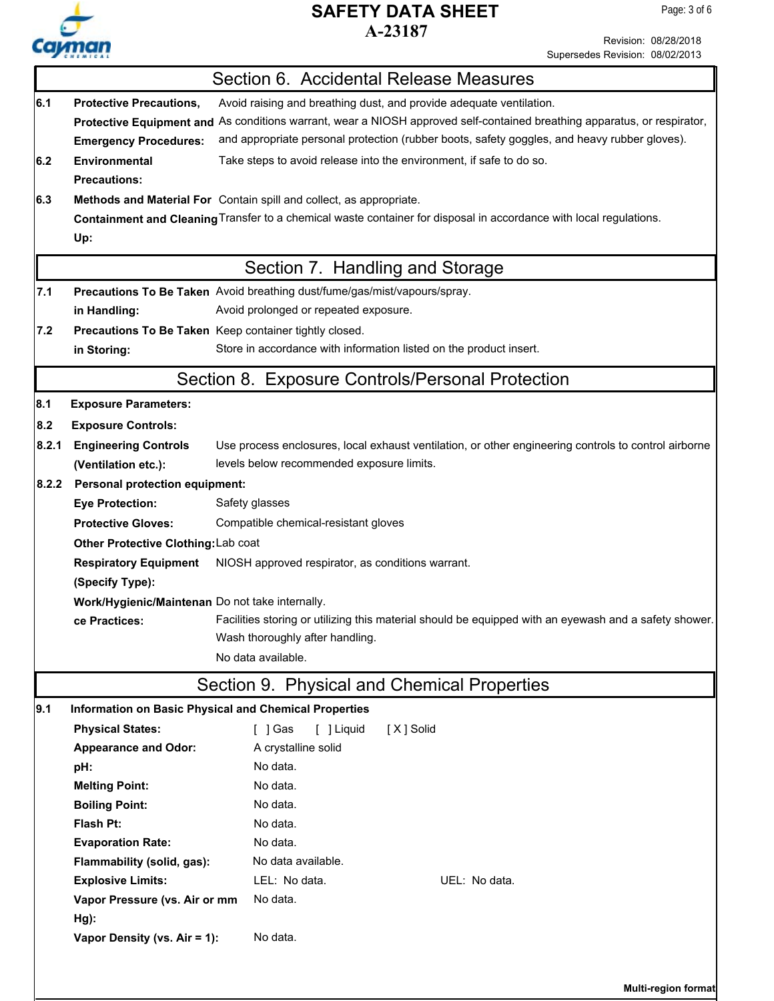

Revision: 08/28/2018

Supersedes Revision: 08/02/2013

|                                 |                                                                                                       | Section 6. Accidental Release Measures                                                                                   |  |  |  |  |  |
|---------------------------------|-------------------------------------------------------------------------------------------------------|--------------------------------------------------------------------------------------------------------------------------|--|--|--|--|--|
| 6.1                             | <b>Protective Precautions,</b><br>Avoid raising and breathing dust, and provide adequate ventilation. |                                                                                                                          |  |  |  |  |  |
|                                 |                                                                                                       | Protective Equipment and As conditions warrant, wear a NIOSH approved self-contained breathing apparatus, or respirator, |  |  |  |  |  |
|                                 | <b>Emergency Procedures:</b>                                                                          | and appropriate personal protection (rubber boots, safety goggles, and heavy rubber gloves).                             |  |  |  |  |  |
| 6.2                             | <b>Environmental</b>                                                                                  | Take steps to avoid release into the environment, if safe to do so.                                                      |  |  |  |  |  |
|                                 | <b>Precautions:</b>                                                                                   |                                                                                                                          |  |  |  |  |  |
| 6.3                             |                                                                                                       | Methods and Material For Contain spill and collect, as appropriate.                                                      |  |  |  |  |  |
|                                 |                                                                                                       | Containment and Cleaning Transfer to a chemical waste container for disposal in accordance with local regulations.       |  |  |  |  |  |
|                                 | Up:                                                                                                   |                                                                                                                          |  |  |  |  |  |
| 7.1                             |                                                                                                       | Section 7. Handling and Storage<br>Precautions To Be Taken Avoid breathing dust/fume/gas/mist/vapours/spray.             |  |  |  |  |  |
|                                 | in Handling:                                                                                          | Avoid prolonged or repeated exposure.                                                                                    |  |  |  |  |  |
| 7.2                             | Precautions To Be Taken Keep container tightly closed.                                                |                                                                                                                          |  |  |  |  |  |
|                                 | in Storing:                                                                                           | Store in accordance with information listed on the product insert.                                                       |  |  |  |  |  |
|                                 |                                                                                                       | Section 8. Exposure Controls/Personal Protection                                                                         |  |  |  |  |  |
| 8.1                             | <b>Exposure Parameters:</b>                                                                           |                                                                                                                          |  |  |  |  |  |
| 8.2                             | <b>Exposure Controls:</b>                                                                             |                                                                                                                          |  |  |  |  |  |
| 8.2.1                           | <b>Engineering Controls</b>                                                                           | Use process enclosures, local exhaust ventilation, or other engineering controls to control airborne                     |  |  |  |  |  |
|                                 | (Ventilation etc.):                                                                                   | levels below recommended exposure limits.                                                                                |  |  |  |  |  |
| 8.2.2                           | <b>Personal protection equipment:</b>                                                                 |                                                                                                                          |  |  |  |  |  |
|                                 | <b>Eye Protection:</b>                                                                                | Safety glasses                                                                                                           |  |  |  |  |  |
|                                 | <b>Protective Gloves:</b>                                                                             | Compatible chemical-resistant gloves                                                                                     |  |  |  |  |  |
|                                 | Other Protective Clothing: Lab coat                                                                   |                                                                                                                          |  |  |  |  |  |
|                                 | <b>Respiratory Equipment</b>                                                                          | NIOSH approved respirator, as conditions warrant.                                                                        |  |  |  |  |  |
| (Specify Type):                 |                                                                                                       |                                                                                                                          |  |  |  |  |  |
|                                 | Work/Hygienic/Maintenan Do not take internally.                                                       |                                                                                                                          |  |  |  |  |  |
|                                 | ce Practices:                                                                                         | Facilities storing or utilizing this material should be equipped with an eyewash and a safety shower.                    |  |  |  |  |  |
| Wash thoroughly after handling. |                                                                                                       |                                                                                                                          |  |  |  |  |  |
|                                 |                                                                                                       | No data available.                                                                                                       |  |  |  |  |  |
|                                 |                                                                                                       | Section 9. Physical and Chemical Properties                                                                              |  |  |  |  |  |
| 9.1                             | <b>Information on Basic Physical and Chemical Properties</b>                                          |                                                                                                                          |  |  |  |  |  |
|                                 | <b>Physical States:</b>                                                                               | $\lceil$ $\rfloor$ Gas<br>[ ] Liquid<br>[X] Solid                                                                        |  |  |  |  |  |
|                                 | <b>Appearance and Odor:</b>                                                                           | A crystalline solid                                                                                                      |  |  |  |  |  |
|                                 | pH:                                                                                                   | No data.                                                                                                                 |  |  |  |  |  |
|                                 | <b>Melting Point:</b>                                                                                 | No data.                                                                                                                 |  |  |  |  |  |
|                                 | <b>Boiling Point:</b>                                                                                 | No data.                                                                                                                 |  |  |  |  |  |
|                                 | Flash Pt:                                                                                             | No data.<br>No data.                                                                                                     |  |  |  |  |  |
|                                 | <b>Evaporation Rate:</b><br>Flammability (solid, gas):                                                | No data available.                                                                                                       |  |  |  |  |  |
|                                 | <b>Explosive Limits:</b>                                                                              | LEL: No data.<br>UEL: No data.                                                                                           |  |  |  |  |  |
|                                 | Vapor Pressure (vs. Air or mm                                                                         | No data.                                                                                                                 |  |  |  |  |  |
| Hg):                            |                                                                                                       |                                                                                                                          |  |  |  |  |  |
|                                 | Vapor Density (vs. Air = 1):                                                                          | No data.                                                                                                                 |  |  |  |  |  |
|                                 |                                                                                                       |                                                                                                                          |  |  |  |  |  |
|                                 |                                                                                                       |                                                                                                                          |  |  |  |  |  |
|                                 |                                                                                                       | Multi-region format                                                                                                      |  |  |  |  |  |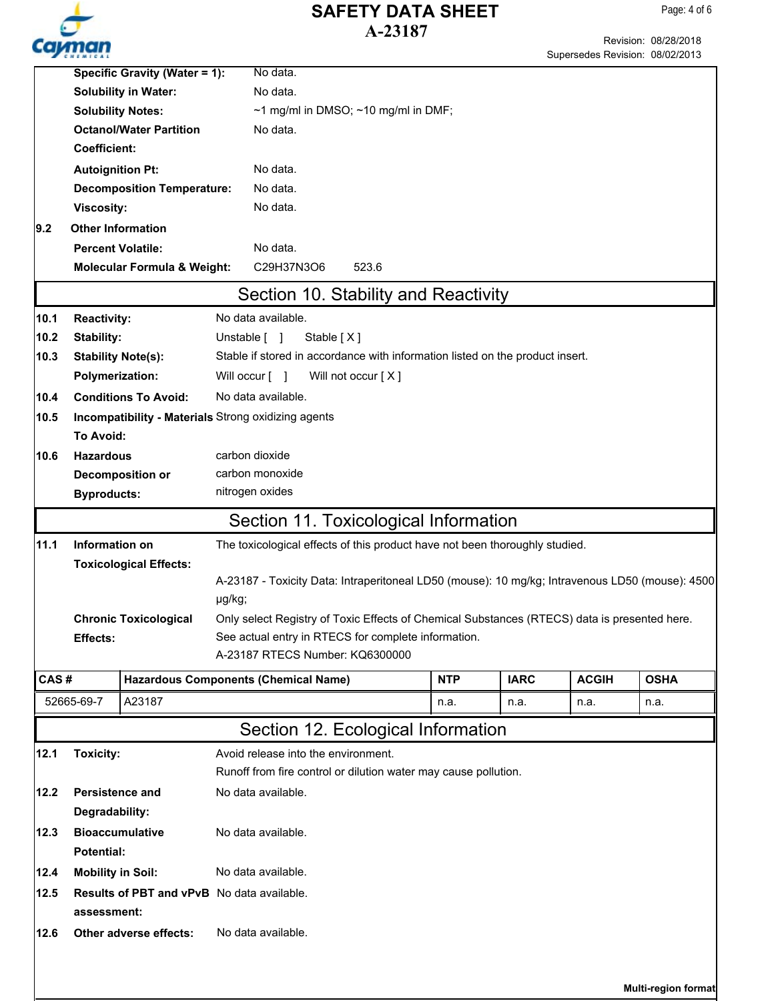

Page: 4 of 6

|      | Specific Gravity (Water = 1):<br><b>Solubility in Water:</b> |                                        | No data.                                                                                        |                                                                                              |             |              |                     |  |
|------|--------------------------------------------------------------|----------------------------------------|-------------------------------------------------------------------------------------------------|----------------------------------------------------------------------------------------------|-------------|--------------|---------------------|--|
|      |                                                              |                                        | No data.                                                                                        |                                                                                              |             |              |                     |  |
|      |                                                              | <b>Solubility Notes:</b>               | $\sim$ 1 mg/ml in DMSO; $\sim$ 10 mg/ml in DMF;                                                 |                                                                                              |             |              |                     |  |
|      |                                                              | <b>Octanol/Water Partition</b>         | No data.                                                                                        |                                                                                              |             |              |                     |  |
|      | <b>Coefficient:</b>                                          |                                        |                                                                                                 |                                                                                              |             |              |                     |  |
|      | <b>Autoignition Pt:</b>                                      |                                        | No data.                                                                                        |                                                                                              |             |              |                     |  |
|      |                                                              | <b>Decomposition Temperature:</b>      | No data.                                                                                        |                                                                                              |             |              |                     |  |
|      | <b>Viscosity:</b>                                            |                                        | No data.                                                                                        |                                                                                              |             |              |                     |  |
| 9.2  | <b>Other Information</b>                                     |                                        |                                                                                                 |                                                                                              |             |              |                     |  |
|      | <b>Percent Volatile:</b>                                     |                                        | No data.                                                                                        |                                                                                              |             |              |                     |  |
|      |                                                              | <b>Molecular Formula &amp; Weight:</b> | C29H37N3O6<br>523.6                                                                             |                                                                                              |             |              |                     |  |
|      |                                                              |                                        | Section 10. Stability and Reactivity                                                            |                                                                                              |             |              |                     |  |
| 10.1 | <b>Reactivity:</b>                                           |                                        | No data available.                                                                              |                                                                                              |             |              |                     |  |
| 10.2 | Stability:                                                   |                                        | Unstable [ ]<br>Stable $[X]$                                                                    |                                                                                              |             |              |                     |  |
| 10.3 |                                                              | <b>Stability Note(s):</b>              | Stable if stored in accordance with information listed on the product insert.                   |                                                                                              |             |              |                     |  |
|      | <b>Polymerization:</b>                                       |                                        | Will occur [ ]                                                                                  | Will not occur [X]                                                                           |             |              |                     |  |
| 10.4 |                                                              | <b>Conditions To Avoid:</b>            | No data available.                                                                              |                                                                                              |             |              |                     |  |
| 10.5 |                                                              |                                        | Incompatibility - Materials Strong oxidizing agents                                             |                                                                                              |             |              |                     |  |
|      | To Avoid:                                                    |                                        |                                                                                                 |                                                                                              |             |              |                     |  |
| 10.6 | <b>Hazardous</b>                                             |                                        | carbon dioxide                                                                                  |                                                                                              |             |              |                     |  |
|      |                                                              | Decomposition or                       | carbon monoxide                                                                                 |                                                                                              |             |              |                     |  |
|      | <b>Byproducts:</b>                                           |                                        | nitrogen oxides                                                                                 |                                                                                              |             |              |                     |  |
|      |                                                              |                                        | Section 11. Toxicological Information                                                           |                                                                                              |             |              |                     |  |
| 11.1 | Information on                                               |                                        |                                                                                                 |                                                                                              |             |              |                     |  |
|      | <b>Toxicological Effects:</b>                                |                                        |                                                                                                 | The toxicological effects of this product have not been thoroughly studied.                  |             |              |                     |  |
|      |                                                              |                                        | A-23187 - Toxicity Data: Intraperitoneal LD50 (mouse): 10 mg/kg; Intravenous LD50 (mouse): 4500 |                                                                                              |             |              |                     |  |
|      |                                                              |                                        | µg/kg;                                                                                          |                                                                                              |             |              |                     |  |
|      |                                                              | <b>Chronic Toxicological</b>           |                                                                                                 | Only select Registry of Toxic Effects of Chemical Substances (RTECS) data is presented here. |             |              |                     |  |
|      | <b>Effects:</b>                                              |                                        | See actual entry in RTECS for complete information.                                             |                                                                                              |             |              |                     |  |
|      |                                                              |                                        | A-23187 RTECS Number: KQ6300000                                                                 |                                                                                              |             |              |                     |  |
| CAS# |                                                              |                                        | <b>Hazardous Components (Chemical Name)</b>                                                     | <b>NTP</b>                                                                                   | <b>IARC</b> | <b>ACGIH</b> | <b>OSHA</b>         |  |
|      | 52665-69-7                                                   | A23187                                 |                                                                                                 | n.a.                                                                                         | n.a.        | n.a.         | n.a.                |  |
|      |                                                              |                                        | Section 12. Ecological Information                                                              |                                                                                              |             |              |                     |  |
|      |                                                              |                                        |                                                                                                 |                                                                                              |             |              |                     |  |
| 12.1 | Avoid release into the environment.<br><b>Toxicity:</b>      |                                        |                                                                                                 |                                                                                              |             |              |                     |  |
|      |                                                              |                                        | Runoff from fire control or dilution water may cause pollution.                                 |                                                                                              |             |              |                     |  |
| 12.2 | <b>Persistence and</b>                                       |                                        | No data available.                                                                              |                                                                                              |             |              |                     |  |
|      | Degradability:                                               |                                        |                                                                                                 |                                                                                              |             |              |                     |  |
| 12.3 |                                                              | <b>Bioaccumulative</b>                 | No data available.                                                                              |                                                                                              |             |              |                     |  |
|      | Potential:                                                   |                                        |                                                                                                 |                                                                                              |             |              |                     |  |
| 12.4 | <b>Mobility in Soil:</b>                                     |                                        | No data available.                                                                              |                                                                                              |             |              |                     |  |
| 12.5 |                                                              |                                        | Results of PBT and vPvB No data available.                                                      |                                                                                              |             |              |                     |  |
|      | assessment:                                                  |                                        |                                                                                                 |                                                                                              |             |              |                     |  |
| 12.6 |                                                              | Other adverse effects:                 | No data available.                                                                              |                                                                                              |             |              |                     |  |
|      |                                                              |                                        |                                                                                                 |                                                                                              |             |              |                     |  |
|      |                                                              |                                        |                                                                                                 |                                                                                              |             |              |                     |  |
|      |                                                              |                                        |                                                                                                 |                                                                                              |             |              | Multi-region format |  |